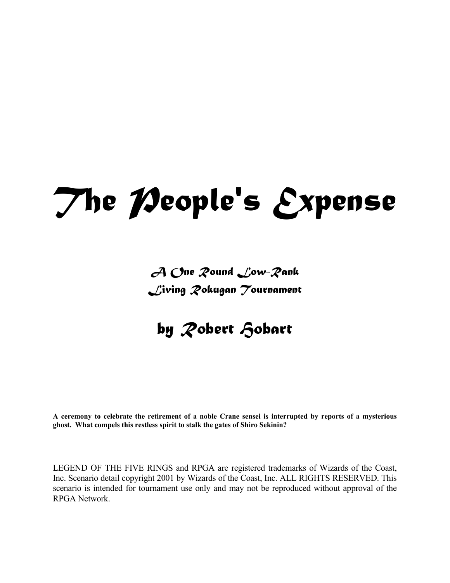# *The People's Expense*

# *A One Round Low-Rank Living Rokugan Tournament*

# *by Robert Hobart*

**A ceremony to celebrate the retirement of a noble Crane sensei is interrupted by reports of a mysterious ghost. What compels this restless spirit to stalk the gates of Shiro Sekinin?** 

LEGEND OF THE FIVE RINGS and RPGA are registered trademarks of Wizards of the Coast, Inc. Scenario detail copyright 2001 by Wizards of the Coast, Inc. ALL RIGHTS RESERVED. This scenario is intended for tournament use only and may not be reproduced without approval of the RPGA Network.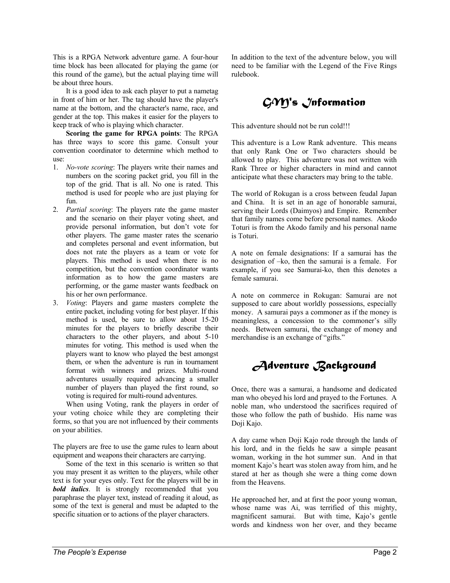This is a RPGA Network adventure game. A four-hour time block has been allocated for playing the game (or this round of the game), but the actual playing time will be about three hours.

 It is a good idea to ask each player to put a nametag in front of him or her. The tag should have the player's name at the bottom, and the character's name, race, and gender at the top. This makes it easier for the players to keep track of who is playing which character.

**Scoring the game for RPGA points**: The RPGA has three ways to score this game. Consult your convention coordinator to determine which method to use:

- 1. *No-vote scoring*: The players write their names and numbers on the scoring packet grid, you fill in the top of the grid. That is all. No one is rated. This method is used for people who are just playing for fun.
- 2. *Partial scoring*: The players rate the game master and the scenario on their player voting sheet, and provide personal information, but don't vote for other players. The game master rates the scenario and completes personal and event information, but does not rate the players as a team or vote for players. This method is used when there is no competition, but the convention coordinator wants information as to how the game masters are performing, or the game master wants feedback on his or her own performance.
- 3. *Voting*: Players and game masters complete the entire packet, including voting for best player. If this method is used, be sure to allow about 15-20 minutes for the players to briefly describe their characters to the other players, and about 5-10 minutes for voting. This method is used when the players want to know who played the best amongst them, or when the adventure is run in tournament format with winners and prizes. Multi-round adventures usually required advancing a smaller number of players than played the first round, so voting is required for multi-round adventures.

 When using Voting, rank the players in order of your voting choice while they are completing their forms, so that you are not influenced by their comments on your abilities.

The players are free to use the game rules to learn about equipment and weapons their characters are carrying.

 Some of the text in this scenario is written so that you may present it as written to the players, while other text is for your eyes only. Text for the players will be in *bold italics*. It is strongly recommended that you paraphrase the player text, instead of reading it aloud, as some of the text is general and must be adapted to the specific situation or to actions of the player characters.

In addition to the text of the adventure below, you will need to be familiar with the Legend of the Five Rings rulebook.

# *GM's Information*

This adventure should not be run cold!!!

This adventure is a Low Rank adventure. This means that only Rank One or Two characters should be allowed to play. This adventure was not written with Rank Three or higher characters in mind and cannot anticipate what these characters may bring to the table.

The world of Rokugan is a cross between feudal Japan and China. It is set in an age of honorable samurai, serving their Lords (Daimyos) and Empire. Remember that family names come before personal names. Akodo Toturi is from the Akodo family and his personal name is Toturi.

A note on female designations: If a samurai has the designation of –ko, then the samurai is a female. For example, if you see Samurai-ko, then this denotes a female samurai.

A note on commerce in Rokugan: Samurai are not supposed to care about worldly possessions, especially money. A samurai pays a commoner as if the money is meaningless, a concession to the commoner's silly needs. Between samurai, the exchange of money and merchandise is an exchange of "gifts."

*Adventure Background* 

Once, there was a samurai, a handsome and dedicated man who obeyed his lord and prayed to the Fortunes. A noble man, who understood the sacrifices required of those who follow the path of bushido. His name was Doji Kajo.

A day came when Doji Kajo rode through the lands of his lord, and in the fields he saw a simple peasant woman, working in the hot summer sun. And in that moment Kajo's heart was stolen away from him, and he stared at her as though she were a thing come down from the Heavens.

He approached her, and at first the poor young woman, whose name was Ai, was terrified of this mighty, magnificent samurai. But with time, Kajo's gentle words and kindness won her over, and they became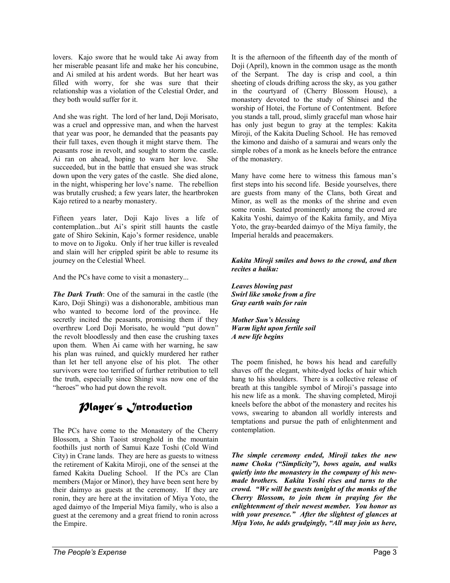lovers. Kajo swore that he would take Ai away from her miserable peasant life and make her his concubine, and Ai smiled at his ardent words. But her heart was filled with worry, for she was sure that their relationship was a violation of the Celestial Order, and they both would suffer for it.

And she was right. The lord of her land, Doji Morisato, was a cruel and oppressive man, and when the harvest that year was poor, he demanded that the peasants pay their full taxes, even though it might starve them. The peasants rose in revolt, and sought to storm the castle. Ai ran on ahead, hoping to warn her love. She succeeded, but in the battle that ensued she was struck down upon the very gates of the castle. She died alone, in the night, whispering her love's name. The rebellion was brutally crushed; a few years later, the heartbroken Kajo retired to a nearby monastery.

Fifteen years later, Doji Kajo lives a life of contemplation...but Ai's spirit still haunts the castle gate of Shiro Sekinin, Kajo's former residence, unable to move on to Jigoku. Only if her true killer is revealed and slain will her crippled spirit be able to resume its journey on the Celestial Wheel.

And the PCs have come to visit a monastery...

*The Dark Truth*: One of the samurai in the castle (the Karo, Doji Shingi) was a dishonorable, ambitious man who wanted to become lord of the province. He secretly incited the peasants, promising them if they overthrew Lord Doji Morisato, he would "put down" the revolt bloodlessly and then ease the crushing taxes upon them. When Ai came with her warning, he saw his plan was ruined, and quickly murdered her rather than let her tell anyone else of his plot. The other survivors were too terrified of further retribution to tell the truth, especially since Shingi was now one of the "heroes" who had put down the revolt.

# *Player's Introduction*

The PCs have come to the Monastery of the Cherry Blossom, a Shin Taoist stronghold in the mountain foothills just north of Samui Kaze Toshi (Cold Wind City) in Crane lands. They are here as guests to witness the retirement of Kakita Miroji, one of the sensei at the famed Kakita Dueling School. If the PCs are Clan members (Major or Minor), they have been sent here by their daimyo as guests at the ceremony. If they are ronin, they are here at the invitation of Miya Yoto, the aged daimyo of the Imperial Miya family, who is also a guest at the ceremony and a great friend to ronin across the Empire.

It is the afternoon of the fifteenth day of the month of Doji (April), known in the common usage as the month of the Serpant. The day is crisp and cool, a thin sheeting of clouds drifting across the sky, as you gather in the courtyard of (Cherry Blossom House), a monastery devoted to the study of Shinsei and the worship of Hotei, the Fortune of Contentment. Before you stands a tall, proud, slimly graceful man whose hair has only just begun to gray at the temples: Kakita Miroji, of the Kakita Dueling School. He has removed the kimono and daisho of a samurai and wears only the simple robes of a monk as he kneels before the entrance of the monastery.

Many have come here to witness this famous man's first steps into his second life. Beside yourselves, there are guests from many of the Clans, both Great and Minor, as well as the monks of the shrine and even some ronin. Seated prominently among the crowd are Kakita Yoshi, daimyo of the Kakita family, and Miya Yoto, the gray-bearded daimyo of the Miya family, the Imperial heralds and peacemakers.

#### *Kakita Miroji smiles and bows to the crowd, and then recites a haiku:*

*Leaves blowing past Swirl like smoke from a fire Gray earth waits for rain* 

*Mother Sun's blessing Warm light upon fertile soil A new life begins* 

The poem finished, he bows his head and carefully shaves off the elegant, white-dyed locks of hair which hang to his shoulders. There is a collective release of breath at this tangible symbol of Miroji's passage into his new life as a monk. The shaving completed, Miroji kneels before the abbot of the monastery and recites his vows, swearing to abandon all worldly interests and temptations and pursue the path of enlightenment and contemplation.

*The simple ceremony ended, Miroji takes the new name Choku ("Simplicity"), bows again, and walks quietly into the monastery in the company of his newmade brothers. Kakita Yoshi rises and turns to the crowd. "We will be guests tonight of the monks of the Cherry Blossom, to join them in praying for the enlightenment of their newest member. You honor us with your presence." After the slightest of glances at Miya Yoto, he adds grudgingly, "All may join us here,*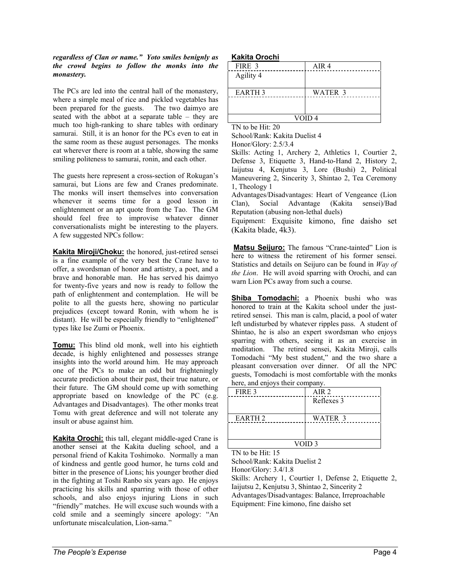#### *regardless of Clan or name." Yoto smiles benignly as the crowd begins to follow the monks into the monastery.*

The PCs are led into the central hall of the monastery, where a simple meal of rice and pickled vegetables has been prepared for the guests. The two daimyo are seated with the abbot at a separate table – they are much too high-ranking to share tables with ordinary samurai. Still, it is an honor for the PCs even to eat in the same room as these august personages. The monks eat wherever there is room at a table, showing the same smiling politeness to samurai, ronin, and each other.

The guests here represent a cross-section of Rokugan's samurai, but Lions are few and Cranes predominate. The monks will insert themselves into conversation whenever it seems time for a good lesson in enlightenment or an apt quote from the Tao. The GM should feel free to improvise whatever dinner conversationalists might be interesting to the players. A few suggested NPCs follow:

**Kakita Miroji/Choku:** the honored, just-retired sensei is a fine example of the very best the Crane have to offer, a swordsman of honor and artistry, a poet, and a brave and honorable man. He has served his daimyo for twenty-five years and now is ready to follow the path of enlightenment and contemplation. He will be polite to all the guests here, showing no particular prejudices (except toward Ronin, with whom he is distant). He will be especially friendly to "enlightened" types like Ise Zumi or Phoenix.

**Tomu:** This blind old monk, well into his eightieth decade, is highly enlightened and possesses strange insights into the world around him. He may approach one of the PCs to make an odd but frighteningly accurate prediction about their past, their true nature, or their future. The GM should come up with something appropriate based on knowledge of the PC (e.g. Advantages and Disadvantages). The other monks treat Tomu with great deference and will not tolerate any insult or abuse against him.

**Kakita Orochi:** this tall, elegant middle-aged Crane is another sensei at the Kakita dueling school, and a personal friend of Kakita Toshimoko. Normally a man of kindness and gentle good humor, he turns cold and bitter in the presence of Lions; his younger brother died in the fighting at Toshi Ranbo six years ago. He enjoys practicing his skills and sparring with those of other schools, and also enjoys injuring Lions in such "friendly" matches. He will excuse such wounds with a cold smile and a seemingly sincere apology: "An unfortunate miscalculation, Lion-sama."

#### **Kakita Orochi**

| FIRE 3        | AIR <sub>4</sub> |
|---------------|------------------|
| Agility 4     |                  |
|               |                  |
| <b>EARTH3</b> | WATER 3          |
|               |                  |
|               |                  |
| VOID 4        |                  |

TN to be Hit: 20

School/Rank: Kakita Duelist 4 Honor/Glory: 2.5/3.4

Skills: Acting 1, Archery 2, Athletics 1, Courtier 2, Defense 3, Etiquette 3, Hand-to-Hand 2, History 2, Iaijutsu 4, Kenjutsu 3, Lore (Bushi) 2, Political Maneuvering 2, Sincerity 3, Shintao 2, Tea Ceremony 1, Theology 1

Advantages/Disadvantages: Heart of Vengeance (Lion Clan), Social Advantage (Kakita sensei)/Bad Reputation (abusing non-lethal duels)

Equipment: Exquisite kimono, fine daisho set (Kakita blade, 4k3).

 **Matsu Seijuro:** The famous "Crane-tainted" Lion is here to witness the retirement of his former sensei. Statistics and details on Seijuro can be found in *Way of the Lion*. He will avoid sparring with Orochi, and can warn Lion PCs away from such a course.

**Shiba Tomodachi:** a Phoenix bushi who was honored to train at the Kakita school under the justretired sensei. This man is calm, placid, a pool of water left undisturbed by whatever ripples pass. A student of Shintao, he is also an expert swordsman who enjoys sparring with others, seeing it as an exercise in meditation. The retired sensei, Kakita Miroji, calls Tomodachi "My best student," and the two share a pleasant conversation over dinner. Of all the NPC guests, Tomodachi is most comfortable with the monks here, and enjoys their company.

| FIRE 3            | AIR <sub>2</sub> |
|-------------------|------------------|
|                   | Reflexes 3       |
|                   |                  |
| <b>EARTH2</b>     | WATER 3          |
|                   |                  |
|                   |                  |
| VOID <sub>3</sub> |                  |

TN to be Hit: 15

School/Rank: Kakita Duelist 2

Honor/Glory: 3.4/1.8

Skills: Archery 1, Courtier 1, Defense 2, Etiquette 2, Iaijutsu 2, Kenjutsu 3, Shintao 2, Sincerity 2 Advantages/Disadvantages: Balance, Irreproachable Equipment: Fine kimono, fine daisho set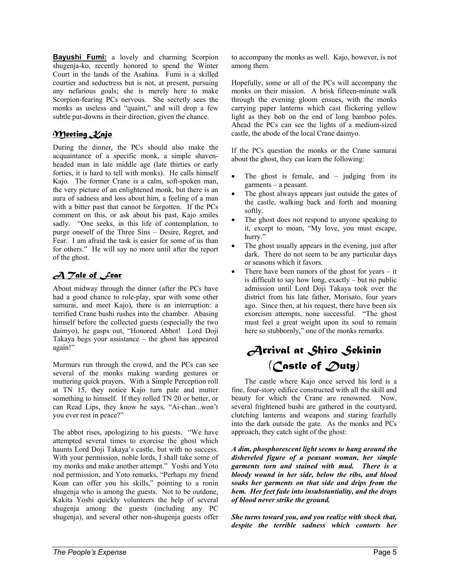**Bayushi Fumi:** a lovely and charming Scorpion shugenja-ko, recently honored to spend the Winter Court in the lands of the Asahina. Fumi is a skilled courtier and seductress but is not, at present, pursuing any nefarious goals; she is merely here to make Scorpion-fearing PCs nervous. She secretly sees the monks as useless and "quaint," and will drop a few subtle put-downs in their direction, given the chance.

## *Meeting Kajo*

During the dinner, the PCs should also make the acquaintance of a specific monk, a simple shavenheaded man in late middle age (late thirties or early forties, it is hard to tell with monks). He calls himself Kajo. The former Crane is a calm, soft-spoken man, the very picture of an enlightened monk, but there is an aura of sadness and loss about him, a feeling of a man with a bitter past that cannot be forgotten. If the PCs comment on this, or ask about his past, Kajo smiles sadly. "One seeks, in this life of contemplation, to purge oneself of the Three Sins – Desire, Regret, and Fear. I am afraid the task is easier for some of us than for others." He will say no more until after the report of the ghost.

# *A Tale of Fear*

About midway through the dinner (after the PCs have had a good chance to role-play, spar with some other samurai, and meet Kajo), there is an interruption: a terrified Crane bushi rushes into the chamber. Abasing himself before the collected guests (especially the two daimyo), he gasps out, "Honored Abbot! Lord Doji Takaya begs your assistance – the ghost has appeared again!"

Murmurs run through the crowd, and the PCs can see several of the monks making warding gestures or muttering quick prayers. With a Simple Perception roll at TN 15, they notice Kajo turn pale and mutter something to himself. If they rolled TN 20 or better, or can Read Lips, they know he says, "Ai-chan...won't you ever rest in peace?"

The abbot rises, apologizing to his guests. "We have attempted several times to exorcise the ghost which haunts Lord Doji Takaya's castle, but with no success. With your permission, noble lords, I shall take some of my monks and make another attempt." Yoshi and Yoto nod permission, and Yoto remarks, "Perhaps my friend Koan can offer you his skills," pointing to a ronin shugenja who is among the guests. Not to be outdone, Kakita Yoshi quickly volunteers the help of several shugenja among the guests (including any PC shugenja), and several other non-shugenja guests offer

to accompany the monks as well. Kajo, however, is not among them.

Hopefully, some or all of the PCs will accompany the monks on their mission. A brisk fifteen-minute walk through the evening gloom ensues, with the monks carrying paper lanterns which cast flickering yellow light as they bob on the end of long bamboo poles. Ahead the PCs can see the lights of a medium-sized castle, the abode of the local Crane daimyo.

If the PCs question the monks or the Crane samurai about the ghost, they can learn the following:

- The ghost is female, and  $-$  judging from its garments – a peasant.
- The ghost always appears just outside the gates of the castle, walking back and forth and moaning softly.
- The ghost does not respond to anyone speaking to it, except to moan, "My love, you must escape, hurry."
- The ghost usually appears in the evening, just after dark. There do not seem to be any particular days or seasons which it favors.
- There have been rumors of the ghost for years  $-$  it is difficult to say how long, exactly – but no public admission until Lord Doji Takaya took over the district from his late father, Morisato, four years ago. Since then, at his request, there have been six exorcism attempts, none successful. "The ghost must feel a great weight upon its soul to remain here so stubbornly," one of the monks remarks.

# *Arrival at Shiro Sekinin (Castle of Duty)*

 The castle where Kajo once served his lord is a fine, four-story edifice constructed with all the skill and beauty for which the Crane are renowned. Now, several frightened bushi are gathered in the courtyard, clutching lanterns and weapons and staring fearfully into the dark outside the gate. As the monks and PCs approach, they catch sight of the ghost:

*A dim, phosphorescent light seems to hang around the disheveled figure of a peasant woman, her simple garments torn and stained with mud. There is a bloody wound in her side, below the ribs, and blood soaks her garments on that side and drips from the hem. Her feet fade into insubstantiality, and the drops of blood never strike the ground.* 

*She turns toward you, and you realize with shock that, despite the terrible sadness which contorts her*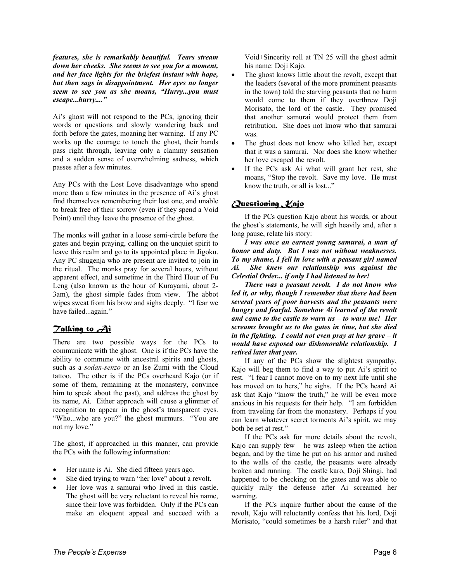*features, she is remarkably beautiful. Tears stream down her cheeks. She seems to see you for a moment, and her face lights for the briefest instant with hope, but then sags in disappointment. Her eyes no longer seem to see you as she moans, "Hurry...you must escape...hurry...."* 

Ai's ghost will not respond to the PCs, ignoring their words or questions and slowly wandering back and forth before the gates, moaning her warning. If any PC works up the courage to touch the ghost, their hands pass right through, leaving only a clammy sensation and a sudden sense of overwhelming sadness, which passes after a few minutes.

Any PCs with the Lost Love disadvantage who spend more than a few minutes in the presence of Ai's ghost find themselves remembering their lost one, and unable to break free of their sorrow (even if they spend a Void Point) until they leave the presence of the ghost.

The monks will gather in a loose semi-circle before the gates and begin praying, calling on the unquiet spirit to leave this realm and go to its appointed place in Jigoku. Any PC shugenja who are present are invited to join in the ritual. The monks pray for several hours, without apparent effect, and sometime in the Third Hour of Fu Leng (also known as the hour of Kurayami, about 2- 3am), the ghost simple fades from view. The abbot wipes sweat from his brow and sighs deeply. "I fear we have failed...again."

# *Talking to Ai*

There are two possible ways for the PCs to communicate with the ghost. One is if the PCs have the ability to commune with ancestral spirits and ghosts, such as a *sodan-senzo* or an Ise Zumi with the Cloud tattoo. The other is if the PCs overheard Kajo (or if some of them, remaining at the monastery, convince him to speak about the past), and address the ghost by its name, Ai. Either approach will cause a glimmer of recognition to appear in the ghost's transparent eyes. "Who...who are you?" the ghost murmurs. "You are not my love."

The ghost, if approached in this manner, can provide the PCs with the following information:

- Her name is Ai. She died fifteen years ago.
- She died trying to warn "her love" about a revolt.
- Her love was a samurai who lived in this castle. The ghost will be very reluctant to reveal his name, since their love was forbidden. Only if the PCs can make an eloquent appeal and succeed with a

Void+Sincerity roll at TN 25 will the ghost admit his name: Doji Kajo.

- The ghost knows little about the revolt, except that the leaders (several of the more prominent peasants in the town) told the starving peasants that no harm would come to them if they overthrew Doji Morisato, the lord of the castle. They promised that another samurai would protect them from retribution. She does not know who that samurai was.
- The ghost does not know who killed her, except that it was a samurai. Nor does she know whether her love escaped the revolt.
- If the PCs ask Ai what will grant her rest, she moans, "Stop the revolt. Save my love. He must know the truth, or all is lost..."

## *Questioning Kajo*

 If the PCs question Kajo about his words, or about the ghost's statements, he will sigh heavily and, after a long pause, relate his story:

*I was once an earnest young samurai, a man of honor and duty. But I was not without weaknesses. To my shame, I fell in love with a peasant girl named Ai. She knew our relationship was against the Celestial Order... if only I had listened to her!* 

*There was a peasant revolt. I do not know who led it, or why, though I remember that there had been several years of poor harvests and the peasants were hungry and fearful. Somehow Ai learned of the revolt and came to the castle to warn us – to warn me! Her screams brought us to the gates in time, but she died in the fighting. I could not even pray at her grave – it would have exposed our dishonorable relationship. I retired later that year.* 

 If any of the PCs show the slightest sympathy, Kajo will beg them to find a way to put Ai's spirit to rest. "I fear I cannot move on to my next life until she has moved on to hers," he sighs. If the PCs heard Ai ask that Kajo "know the truth," he will be even more anxious in his requests for their help. "I am forbidden from traveling far from the monastery. Perhaps if you can learn whatever secret torments Ai's spirit, we may both be set at rest."

 If the PCs ask for more details about the revolt, Kajo can supply few – he was asleep when the action began, and by the time he put on his armor and rushed to the walls of the castle, the peasants were already broken and running. The castle karo, Doji Shingi, had happened to be checking on the gates and was able to quickly rally the defense after Ai screamed her warning.

 If the PCs inquire further about the cause of the revolt, Kajo will reluctantly confess that his lord, Doji Morisato, "could sometimes be a harsh ruler" and that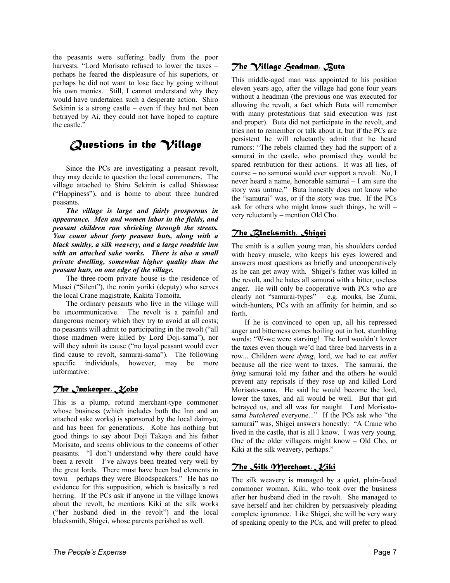the peasants were suffering badly from the poor harvests. "Lord Morisato refused to lower the taxes – perhaps he feared the displeasure of his superiors, or perhaps he did not want to lose face by going without his own monies. Still, I cannot understand why they would have undertaken such a desperate action. Shiro Sekinin is a strong castle – even if they had not been betrayed by Ai, they could not have hoped to capture the castle."

# *Questions in the Village*

 Since the PCs are investigating a peasant revolt, they may decide to question the local commoners. The village attached to Shiro Sekinin is called Shiawase ("Happiness"), and is home to about three hundred peasants.

*The village is large and fairly prosperous in appearance. Men and women labor in the fields, and peasant children run shrieking through the streets. You count about forty peasant huts, along with a black smithy, a silk weavery, and a large roadside inn with an attached sake works. There is also a small private dwelling, somewhat higher quality than the peasant huts, on one edge of the village.* 

 The three-room private house is the residence of Musei ("Silent"), the ronin yoriki (deputy) who serves the local Crane magistrate, Kakita Tomoita.

 The ordinary peasants who live in the village will be uncommunicative. The revolt is a painful and dangerous memory which they try to avoid at all costs; no peasants will admit to participating in the revolt ("all those madmen were killed by Lord Doji-sama"), nor will they admit its cause ("no loyal peasant would ever find cause to revolt, samurai-sama"). The following specific individuals, however, may be more informative:

#### *The Innkeeper, Kobe*

This is a plump, rotund merchant-type commoner whose business (which includes both the Inn and an attached sake works) is sponsored by the local daimyo, and has been for generations. Kobe has nothing but good things to say about Doji Takaya and his father Morisato, and seems oblivious to the concerns of other peasants. "I don't understand why there could have been a revolt – I've always been treated very well by the great lords. There must have been bad elements in town – perhaps they were Bloodspeakers." He has no evidence for this supposition, which is basically a red herring. If the PCs ask if anyone in the village knows about the revolt, he mentions Kiki at the silk works ("her husband died in the revolt") and the local blacksmith, Shigei, whose parents perished as well.

# *The Village Headman, Buta*

This middle-aged man was appointed to his position eleven years ago, after the village had gone four years without a headman (the previous one was executed for allowing the revolt, a fact which Buta will remember with many protestations that said execution was just and proper). Buta did not participate in the revolt, and tries not to remember or talk about it, but if the PCs are persistent he will reluctantly admit that he heard rumors: "The rebels claimed they had the support of a samurai in the castle, who promised they would be spared retribution for their actions. It was all lies, of course – no samurai would ever support a revolt. No, I never heard a name, honorable samurai – I am sure the story was untrue." Buta honestly does not know who the "samurai" was, or if the story was true. If the PCs ask for others who might know such things, he will – very reluctantly – mention Old Cho.

## *The Blacksmith, Shigei*

The smith is a sullen young man, his shoulders corded with heavy muscle, who keeps his eyes lowered and answers most questions as briefly and uncooperatively as he can get away with. Shigei's father was killed in the revolt, and he hates all samurai with a bitter, useless anger. He will only be cooperative with PCs who are clearly not "samurai-types" – e.g. monks, Ise Zumi, witch-hunters, PCs with an affinity for heimin, and so forth.

 If he is convinced to open up, all his repressed anger and bitterness comes boiling out in hot, stumbling words: "W-we were starving! The lord wouldn't lower the taxes even though we'd had three bad harvests in a row... Children were *dying*, lord, we had to eat *millet* because all the rice went to taxes. The samurai, the *lying* samurai told my father and the others he would prevent any reprisals if they rose up and killed Lord Morisato-sama. He said he would become the lord, lower the taxes, and all would be well. But that girl betrayed us, and all was for naught. Lord Morisatosama *butchered* everyone..." If the PCs ask who "the samurai" was, Shigei answers honestly: "A Crane who lived in the castle, that is all I know. I was very young. One of the older villagers might know – Old Cho, or Kiki at the silk weavery, perhaps."

# *The Silk Merchant, Kiki*

The silk weavery is managed by a quiet, plain-faced commoner woman, Kiki, who took over the business after her husband died in the revolt. She managed to save herself and her children by persuasively pleading complete ignorance. Like Shigei, she will be very wary of speaking openly to the PCs, and will prefer to plead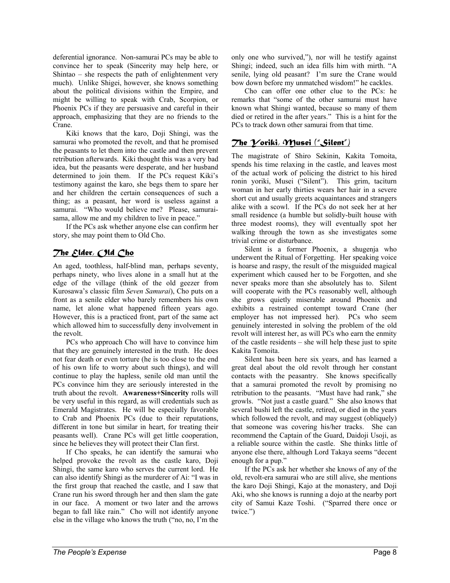deferential ignorance. Non-samurai PCs may be able to convince her to speak (Sincerity may help here, or Shintao – she respects the path of enlightenment very much). Unlike Shigei, however, she knows something about the political divisions within the Empire, and might be willing to speak with Crab, Scorpion, or Phoenix PCs if they are persuasive and careful in their approach, emphasizing that they are no friends to the Crane.

 Kiki knows that the karo, Doji Shingi, was the samurai who promoted the revolt, and that he promised the peasants to let them into the castle and then prevent retribution afterwards. Kiki thought this was a very bad idea, but the peasants were desperate, and her husband determined to join them. If the PCs request Kiki's testimony against the karo, she begs them to spare her and her children the certain consequences of such a thing; as a peasant, her word is useless against a samurai. "Who would believe me? Please, samuraisama, allow me and my children to live in peace."

 If the PCs ask whether anyone else can confirm her story, she may point them to Old Cho.

## *The Elder, Old Cho*

An aged, toothless, half-blind man, perhaps seventy, perhaps ninety, who lives alone in a small hut at the edge of the village (think of the old geezer from Kurosawa's classic film *Seven Samurai*), Cho puts on a front as a senile elder who barely remembers his own name, let alone what happened fifteen years ago. However, this is a practiced front, part of the same act which allowed him to successfully deny involvement in the revolt.

 PCs who approach Cho will have to convince him that they are genuinely interested in the truth. He does not fear death or even torture (he is too close to the end of his own life to worry about such things), and will continue to play the hapless, senile old man until the PCs convince him they are seriously interested in the truth about the revolt. **Awareness+Sincerity** rolls will be very useful in this regard, as will credentials such as Emerald Magistrates. He will be especially favorable to Crab and Phoenix PCs (due to their reputations, different in tone but similar in heart, for treating their peasants well). Crane PCs will get little cooperation, since he believes they will protect their Clan first.

 If Cho speaks, he can identify the samurai who helped provoke the revolt as the castle karo, Doji Shingi, the same karo who serves the current lord. He can also identify Shingi as the murderer of Ai: "I was in the first group that reached the castle, and I saw that Crane run his sword through her and then slam the gate in our face. A moment or two later and the arrows began to fall like rain." Cho will not identify anyone else in the village who knows the truth ("no, no, I'm the

only one who survived,"), nor will he testify against Shingi; indeed, such an idea fills him with mirth. "A senile, lying old peasant? I'm sure the Crane would bow down before my unmatched wisdom!" he cackles.

 Cho can offer one other clue to the PCs: he remarks that "some of the other samurai must have known what Shingi wanted, because so many of them died or retired in the after years." This is a hint for the PCs to track down other samurai from that time.

## *The Yoriki, Musei ("Silent")*

The magistrate of Shiro Sekinin, Kakita Tomoita, spends his time relaxing in the castle, and leaves most of the actual work of policing the district to his hired ronin yoriki, Musei ("Silent"). This grim, taciturn woman in her early thirties wears her hair in a severe short cut and usually greets acquaintances and strangers alike with a scowl. If the PCs do not seek her at her small residence (a humble but solidly-built house with three modest rooms), they will eventually spot her walking through the town as she investigates some trivial crime or disturbance.

 Silent is a former Phoenix, a shugenja who underwent the Ritual of Forgetting. Her speaking voice is hoarse and raspy, the result of the misguided magical experiment which caused her to be Forgotten, and she never speaks more than she absolutely has to. Silent will cooperate with the PCs reasonably well, although she grows quietly miserable around Phoenix and exhibits a restrained contempt toward Crane (her employer has not impressed her). PCs who seem genuinely interested in solving the problem of the old revolt will interest her, as will PCs who earn the enmity of the castle residents – she will help these just to spite Kakita Tomoita.

 Silent has been here six years, and has learned a great deal about the old revolt through her constant contacts with the peasantry. She knows specifically that a samurai promoted the revolt by promising no retribution to the peasants. "Must have had rank," she growls. "Not just a castle guard." She also knows that several bushi left the castle, retired, or died in the years which followed the revolt, and may suggest (obliquely) that someone was covering his/her tracks. She can recommend the Captain of the Guard, Daidoji Usoji, as a reliable source within the castle. She thinks little of anyone else there, although Lord Takaya seems "decent enough for a pup."

 If the PCs ask her whether she knows of any of the old, revolt-era samurai who are still alive, she mentions the karo Doji Shingi, Kajo at the monastery, and Doji Aki, who she knows is running a dojo at the nearby port city of Samui Kaze Toshi. ("Sparred there once or twice.")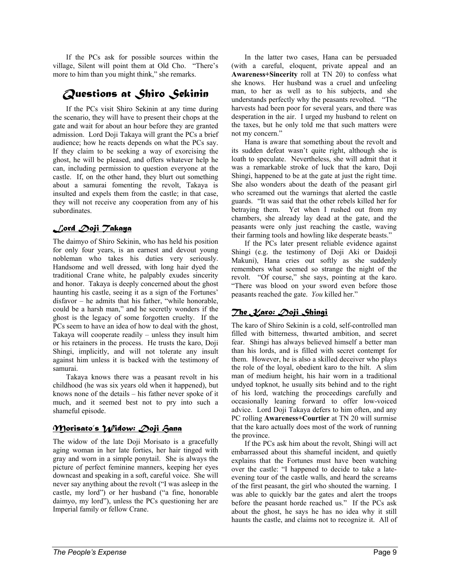If the PCs ask for possible sources within the village, Silent will point them at Old Cho. "There's more to him than you might think," she remarks.

# *Questions at Shiro Sekinin*

 If the PCs visit Shiro Sekinin at any time during the scenario, they will have to present their chops at the gate and wait for about an hour before they are granted admission. Lord Doji Takaya will grant the PCs a brief audience; how he reacts depends on what the PCs say. If they claim to be seeking a way of exorcising the ghost, he will be pleased, and offers whatever help he can, including permission to question everyone at the castle. If, on the other hand, they blurt out something about a samurai fomenting the revolt, Takaya is insulted and expels them from the castle; in that case, they will not receive any cooperation from any of his subordinates.

# *Lord Doji Takaya*

The daimyo of Shiro Sekinin, who has held his position for only four years, is an earnest and devout young nobleman who takes his duties very seriously. Handsome and well dressed, with long hair dyed the traditional Crane white, he palpably exudes sincerity and honor. Takaya is deeply concerned about the ghost haunting his castle, seeing it as a sign of the Fortunes' disfavor – he admits that his father, "while honorable, could be a harsh man," and he secretly wonders if the ghost is the legacy of some forgotten cruelty. If the PCs seem to have an idea of how to deal with the ghost, Takaya will cooperate readily – unless they insult him or his retainers in the process. He trusts the karo, Doji Shingi, implicitly, and will not tolerate any insult against him unless it is backed with the testimony of samurai.

 Takaya knows there was a peasant revolt in his childhood (he was six years old when it happened), but knows none of the details – his father never spoke of it much, and it seemed best not to pry into such a shameful episode.

# *Morisato's Widow: Doji Hana*

The widow of the late Doji Morisato is a gracefully aging woman in her late forties, her hair tinged with gray and worn in a simple ponytail. She is always the picture of perfect feminine manners, keeping her eyes downcast and speaking in a soft, careful voice. She will never say anything about the revolt ("I was asleep in the castle, my lord") or her husband ("a fine, honorable daimyo, my lord"), unless the PCs questioning her are Imperial family or fellow Crane.

 In the latter two cases, Hana can be persuaded (with a careful, eloquent, private appeal and an **Awareness+Sincerity** roll at TN 20) to confess what she knows. Her husband was a cruel and unfeeling man, to her as well as to his subjects, and she understands perfectly why the peasants revolted. "The harvests had been poor for several years, and there was desperation in the air. I urged my husband to relent on the taxes, but he only told me that such matters were not my concern."

 Hana is aware that something about the revolt and its sudden defeat wasn't quite right, although she is loath to speculate. Nevertheless, she will admit that it was a remarkable stroke of luck that the karo, Doji Shingi, happened to be at the gate at just the right time. She also wonders about the death of the peasant girl who screamed out the warnings that alerted the castle guards. "It was said that the other rebels killed her for betraying them. Yet when I rushed out from my chambers, she already lay dead at the gate, and the peasants were only just reaching the castle, waving their farming tools and howling like desperate beasts."

 If the PCs later present reliable evidence against Shingi (e.g. the testimony of Doji Aki or Daidoji Makuni), Hana cries out softly as she suddenly remembers what seemed so strange the night of the revolt. "Of course," she says, pointing at the karo. "There was blood on your sword even before those peasants reached the gate. *You* killed her."

# *The Karo: Doji Shingi*

The karo of Shiro Sekinin is a cold, self-controlled man filled with bitterness, thwarted ambition, and secret fear. Shingi has always believed himself a better man than his lords, and is filled with secret contempt for them. However, he is also a skilled deceiver who plays the role of the loyal, obedient karo to the hilt. A slim man of medium height, his hair worn in a traditional undyed topknot, he usually sits behind and to the right of his lord, watching the proceedings carefully and occasionally leaning forward to offer low-voiced advice. Lord Doji Takaya defers to him often, and any PC rolling **Awareness+Courtier** at TN 20 will surmise that the karo actually does most of the work of running the province.

 If the PCs ask him about the revolt, Shingi will act embarrassed about this shameful incident, and quietly explains that the Fortunes must have been watching over the castle: "I happened to decide to take a lateevening tour of the castle walls, and heard the screams of the first peasant, the girl who shouted the warning. I was able to quickly bar the gates and alert the troops before the peasant horde reached us." If the PCs ask about the ghost, he says he has no idea why it still haunts the castle, and claims not to recognize it. All of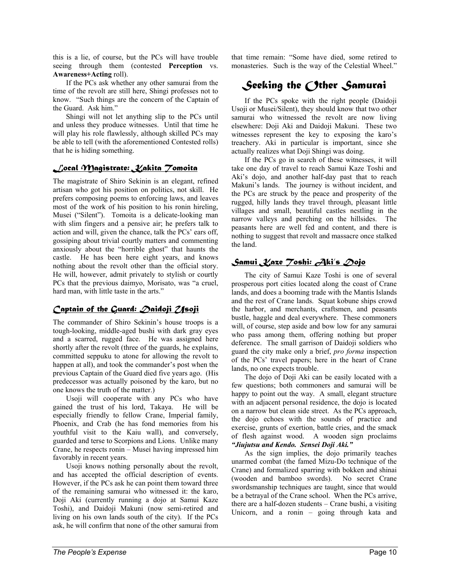this is a lie, of course, but the PCs will have trouble seeing through them (contested **Perception** vs. **Awareness+Acting** roll).

 If the PCs ask whether any other samurai from the time of the revolt are still here, Shingi professes not to know. "Such things are the concern of the Captain of the Guard. Ask him."

 Shingi will not let anything slip to the PCs until and unless they produce witnesses. Until that time he will play his role flawlessly, although skilled PCs may be able to tell (with the aforementioned Contested rolls) that he is hiding something.

## *Local Magistrate: Kakita Tomoita*

The magistrate of Shiro Sekinin is an elegant, refined artisan who got his position on politics, not skill. He prefers composing poems to enforcing laws, and leaves most of the work of his position to his ronin hireling, Musei ("Silent"). Tomoita is a delicate-looking man with slim fingers and a pensive air; he prefers talk to action and will, given the chance, talk the PCs' ears off, gossiping about trivial courtly matters and commenting anxiously about the "horrible ghost" that haunts the castle. He has been here eight years, and knows nothing about the revolt other than the official story. He will, however, admit privately to stylish or courtly PCs that the previous daimyo, Morisato, was "a cruel, hard man, with little taste in the arts."

## *Captain of the Guard: Daidoji Usoji*

The commander of Shiro Sekinin's house troops is a tough-looking, middle-aged bushi with dark gray eyes and a scarred, rugged face. He was assigned here shortly after the revolt (three of the guards, he explains, committed seppuku to atone for allowing the revolt to happen at all), and took the commander's post when the previous Captain of the Guard died five years ago. (His predecessor was actually poisoned by the karo, but no one knows the truth of the matter.)

Usoji will cooperate with any PCs who have gained the trust of his lord, Takaya. He will be especially friendly to fellow Crane, Imperial family, Phoenix, and Crab (he has fond memories from his youthful visit to the Kaiu wall), and conversely, guarded and terse to Scorpions and Lions. Unlike many Crane, he respects ronin – Musei having impressed him favorably in recent years.

 Usoji knows nothing personally about the revolt, and has accepted the official description of events. However, if the PCs ask he can point them toward three of the remaining samurai who witnessed it: the karo, Doji Aki (currently running a dojo at Samui Kaze Toshi), and Daidoji Makuni (now semi-retired and living on his own lands south of the city). If the PCs ask, he will confirm that none of the other samurai from that time remain: "Some have died, some retired to monasteries. Such is the way of the Celestial Wheel."

# *Seeking the Other Samurai*

 If the PCs spoke with the right people (Daidoji Usoji or Musei/Silent), they should know that two other samurai who witnessed the revolt are now living elsewhere: Doji Aki and Daidoji Makuni. These two witnesses represent the key to exposing the karo's treachery. Aki in particular is important, since she actually realizes what Doji Shingi was doing.

 If the PCs go in search of these witnesses, it will take one day of travel to reach Samui Kaze Toshi and Aki's dojo, and another half-day past that to reach Makuni's lands. The journey is without incident, and the PCs are struck by the peace and prosperity of the rugged, hilly lands they travel through, pleasant little villages and small, beautiful castles nestling in the narrow valleys and perching on the hillsides. The peasants here are well fed and content, and there is nothing to suggest that revolt and massacre once stalked the land.

## *Samui Kaze Toshi: Aki's Dojo*

 The city of Samui Kaze Toshi is one of several prosperous port cities located along the coast of Crane lands, and does a booming trade with the Mantis Islands and the rest of Crane lands. Squat kobune ships crowd the harbor, and merchants, craftsmen, and peasants bustle, haggle and deal everywhere. These commoners will, of course, step aside and bow low for any samurai who pass among them, offering nothing but proper deference. The small garrison of Daidoji soldiers who guard the city make only a brief, *pro forma* inspection of the PCs' travel papers; here in the heart of Crane lands, no one expects trouble.

 The dojo of Doji Aki can be easily located with a few questions; both commoners and samurai will be happy to point out the way. A small, elegant structure with an adjacent personal residence, the dojo is located on a narrow but clean side street. As the PCs approach, the dojo echoes with the sounds of practice and exercise, grunts of exertion, battle cries, and the smack of flesh against wood. A wooden sign proclaims *"Jiujutsu and Kendo. Sensei Doji Aki."*

 As the sign implies, the dojo primarily teaches unarmed combat (the famed Mizu-Do technique of the Crane) and formalized sparring with bokken and shinai (wooden and bamboo swords). No secret Crane swordsmanship techniques are taught, since that would be a betrayal of the Crane school. When the PCs arrive, there are a half-dozen students – Crane bushi, a visiting Unicorn, and a ronin – going through kata and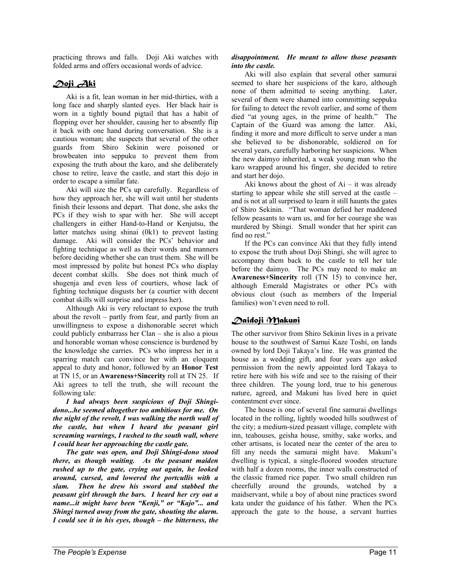practicing throws and falls. Doji Aki watches with folded arms and offers occasional words of advice.

# *Doji Aki*

 Aki is a fit, lean woman in her mid-thirties, with a long face and sharply slanted eyes. Her black hair is worn in a tightly bound pigtail that has a habit of flopping over her shoulder, causing her to absently flip it back with one hand during conversation. She is a cautious woman; she suspects that several of the other guards from Shiro Sekinin were poisoned or browbeaten into seppuku to prevent them from exposing the truth about the karo, and she deliberately chose to retire, leave the castle, and start this dojo in order to escape a similar fate.

 Aki will size the PCs up carefully. Regardless of how they approach her, she will wait until her students finish their lessons and depart. That done, she asks the PCs if they wish to spar with her. She will accept challengers in either Hand-to-Hand or Kenjutsu, the latter matches using shinai (0k1) to prevent lasting damage. Aki will consider the PCs' behavior and fighting technique as well as their words and manners before deciding whether she can trust them. She will be most impressed by polite but honest PCs who display decent combat skills. She does not think much of shugenja and even less of courtiers, whose lack of fighting technique disgusts her (a courtier with decent combat skills will surprise and impress her).

 Although Aki is very reluctant to expose the truth about the revolt – partly from fear, and partly from an unwillingness to expose a dishonorable secret which could publicly embarrass her Clan – she is also a pious and honorable woman whose conscience is burdened by the knowledge she carries. PCs who impress her in a sparring match can convince her with an eloquent appeal to duty and honor, followed by an **Honor Test** at TN 15, or an **Awareness+Sincerity** roll at TN 25. If Aki agrees to tell the truth, she will recount the following tale:

*I had always been suspicious of Doji Shingidono...he seemed altogether too ambitious for me. On the night of the revolt, I was walking the north wall of the castle, but when I heard the peasant girl screaming warnings, I rushed to the south wall, where I could hear her approaching the castle gate.* 

 *The gate was open, and Doji Shingi-dono stood there, as though waiting. As the peasant maiden rushed up to the gate, crying out again, he looked around, cursed, and lowered the portcullis with a slam. Then he drew his sword and stabbed the peasant girl through the bars. I heard her cry out a name...it might have been "Kenji," or "Kajo"... and Shingi turned away from the gate, shouting the alarm. I could see it in his eyes, though – the bitterness, the* 

#### *disappointment. He meant to allow those peasants into the castle.*

 Aki will also explain that several other samurai seemed to share her suspicions of the karo, although none of them admitted to seeing anything. Later, several of them were shamed into committing seppuku for failing to detect the revolt earlier, and some of them died "at young ages, in the prime of health." The Captain of the Guard was among the latter. Aki, finding it more and more difficult to serve under a man she believed to be dishonorable, soldiered on for several years, carefully harboring her suspicions. When the new daimyo inherited, a weak young man who the karo wrapped around his finger, she decided to retire and start her dojo.

Aki knows about the ghost of  $Ai - it$  was already starting to appear while she still served at the castle – and is not at all surprised to learn it still haunts the gates of Shiro Sekinin. "That woman defied her maddened fellow peasants to warn us, and for her courage she was murdered by Shingi. Small wonder that her spirit can find no rest."

 If the PCs can convince Aki that they fully intend to expose the truth about Doji Shingi, she will agree to accompany them back to the castle to tell her tale before the daimyo. The PCs may need to make an **Awareness+Sincerity** roll (TN 15) to convince her, although Emerald Magistrates or other PCs with obvious clout (such as members of the Imperial families) won't even need to roll.

# *Daidoji Makuni*

The other survivor from Shiro Sekinin lives in a private house to the southwest of Samui Kaze Toshi, on lands owned by lord Doji Takaya's line. He was granted the house as a wedding gift, and four years ago asked permission from the newly appointed lord Takaya to retire here with his wife and see to the raising of their three children. The young lord, true to his generous nature, agreed, and Makuni has lived here in quiet contentment ever since.

 The house is one of several fine samurai dwellings located in the rolling, lightly wooded hills southwest of the city; a medium-sized peasant village, complete with inn, teahouses, geisha house, smithy, sake works, and other artisans, is located near the center of the area to fill any needs the samurai might have. Makuni's dwelling is typical, a single-floored wooden structure with half a dozen rooms, the inner walls constructed of the classic framed rice paper. Two small children run cheerfully around the grounds, watched by a maidservant, while a boy of about nine practices sword kata under the guidance of his father. When the PCs approach the gate to the house, a servant hurries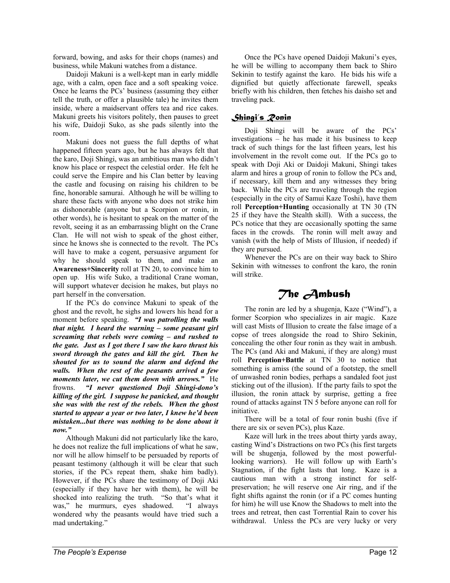forward, bowing, and asks for their chops (names) and business, while Makuni watches from a distance.

 Daidoji Makuni is a well-kept man in early middle age, with a calm, open face and a soft speaking voice. Once he learns the PCs' business (assuming they either tell the truth, or offer a plausible tale) he invites them inside, where a maidservant offers tea and rice cakes. Makuni greets his visitors politely, then pauses to greet his wife, Daidoji Suko, as she pads silently into the room.

 Makuni does not guess the full depths of what happened fifteen years ago, but he has always felt that the karo, Doji Shingi, was an ambitious man who didn't know his place or respect the celestial order. He felt he could serve the Empire and his Clan better by leaving the castle and focusing on raising his children to be fine, honorable samurai. Although he will be willing to share these facts with anyone who does not strike him as dishonorable (anyone but a Scorpion or ronin, in other words), he is hesitant to speak on the matter of the revolt, seeing it as an embarrassing blight on the Crane Clan. He will not wish to speak of the ghost either, since he knows she is connected to the revolt. The PCs will have to make a cogent, persuasive argument for why he should speak to them, and make an **Awareness+Sincerity** roll at TN 20, to convince him to open up. His wife Suko, a traditional Crane woman, will support whatever decision he makes, but plays no part herself in the conversation.

 If the PCs do convince Makuni to speak of the ghost and the revolt, he sighs and lowers his head for a moment before speaking. *"I was patrolling the walls that night. I heard the warning – some peasant girl screaming that rebels were coming – and rushed to the gate. Just as I got there I saw the karo thrust his sword through the gates and kill the girl. Then he shouted for us to sound the alarm and defend the walls. When the rest of the peasants arrived a few moments later, we cut them down with arrows."* He frowns. *"I never questioned Doji Shingi-dono's killing of the girl. I suppose he panicked, and thought she was with the rest of the rebels. When the ghost started to appear a year or two later, I knew he'd been mistaken...but there was nothing to be done about it now."* 

 Although Makuni did not particularly like the karo, he does not realize the full implications of what he saw, nor will he allow himself to be persuaded by reports of peasant testimony (although it will be clear that such stories, if the PCs repeat them, shake him badly). However, if the PCs share the testimony of Doji Aki (especially if they have her with them), he will be shocked into realizing the truth. "So that's what it was," he murmurs, eyes shadowed. "I always wondered why the peasants would have tried such a mad undertaking."

 Once the PCs have opened Daidoji Makuni's eyes, he will be willing to accompany them back to Shiro Sekinin to testify against the karo. He bids his wife a dignified but quietly affectionate farewell, speaks briefly with his children, then fetches his daisho set and traveling pack.

## *Shingi's Ronin*

 Doji Shingi will be aware of the PCs' investigations – he has made it his business to keep track of such things for the last fifteen years, lest his involvement in the revolt come out. If the PCs go to speak with Doji Aki or Daidoji Makuni, Shingi takes alarm and hires a group of ronin to follow the PCs and, if necessary, kill them and any witnesses they bring back. While the PCs are traveling through the region (especially in the city of Samui Kaze Toshi), have them roll **Perception+Hunting** occasionally at TN 30 (TN 25 if they have the Stealth skill). With a success, the PCs notice that they are occasionally spotting the same faces in the crowds. The ronin will melt away and vanish (with the help of Mists of Illusion, if needed) if they are pursued.

 Whenever the PCs are on their way back to Shiro Sekinin with witnesses to confront the karo, the ronin will strike.

# *The Ambush*

 The ronin are led by a shugenja, Kaze ("Wind"), a former Scorpion who specializes in air magic. Kaze will cast Mists of Illusion to create the false image of a copse of trees alongside the road to Shiro Sekinin, concealing the other four ronin as they wait in ambush. The PCs (and Aki and Makuni, if they are along) must roll **Perception+Battle** at TN 30 to notice that something is amiss (the sound of a footstep, the smell of unwashed ronin bodies, perhaps a sandaled foot just sticking out of the illusion). If the party fails to spot the illusion, the ronin attack by surprise, getting a free round of attacks against TN 5 before anyone can roll for initiative.

 There will be a total of four ronin bushi (five if there are six or seven PCs), plus Kaze.

 Kaze will lurk in the trees about thirty yards away, casting Wind's Distractions on two PCs (his first targets will be shugenja, followed by the most powerfullooking warriors). He will follow up with Earth's Stagnation, if the fight lasts that long. Kaze is a cautious man with a strong instinct for selfpreservation; he will reserve one Air ring, and if the fight shifts against the ronin (or if a PC comes hunting for him) he will use Know the Shadows to melt into the trees and retreat, then cast Torrential Rain to cover his withdrawal. Unless the PCs are very lucky or very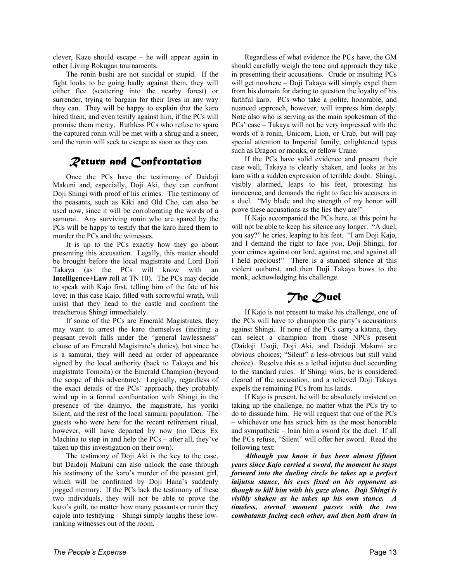clever, Kaze should escape – he will appear again in other Living Rokugan tournaments.

 The ronin bushi are not suicidal or stupid. If the fight looks to be going badly against them, they will either flee (scattering into the nearby forest) or surrender, trying to bargain for their lives in any way they can. They will be happy to explain that the karo hired them, and even testify against him, if the PCs will promise them mercy. Ruthless PCs who refuse to spare the captured ronin will be met with a shrug and a sneer, and the ronin will seek to escape as soon as they can.

# *Return and Confrontation*

 Once the PCs have the testimony of Daidoji Makuni and, especially, Doji Aki, they can confront Doji Shingi with proof of his crimes. The testimony of the peasants, such as Kiki and Old Cho, can also be used now, since it will be corroborating the words of a samurai. Any surviving ronin who are spared by the PCs will be happy to testify that the karo hired them to murder the PCs and the witnesses.

 It is up to the PCs exactly how they go about presenting this accusation. Legally, this matter should be brought before the local magistrate and Lord Doji Takaya (as the PCs will know with an **Intelligence+Law** roll at TN 10). The PCs may decide to speak with Kajo first, telling him of the fate of his love; in this case Kajo, filled with sorrowful wrath, will insist that they head to the castle and confront the treacherous Shingi immediately.

 If some of the PCs are Emerald Magistrates, they may want to arrest the karo themselves (inciting a peasant revolt falls under the "general lawlessness" clause of an Emerald Magistrate's duties), but since he is a samurai, they will need an order of appearance signed by the local authority (back to Takaya and his magistrate Tomoita) or the Emerald Champion (beyond the scope of this adventure). Logically, regardless of the exact details of the PCs' approach, they probably wind up in a formal confrontation with Shingi in the presence of the daimyo, the magistrate, his yoriki Silent, and the rest of the local samurai population. The guests who were here for the recent retirement ritual, however, will have departed by now (no Deus Ex Machina to step in and help the PCs – after all, they've taken up this investigation on their own).

 The testimony of Doji Aki is the key to the case, but Daidoji Makuni can also unlock the case through his testimony of the karo's murder of the peasant girl, which will be confirmed by Doji Hana's suddenly jogged memory. If the PCs lack the testimony of these two individuals, they will not be able to prove the karo's guilt, no matter how many peasants or ronin they cajole into testifying – Shingi simply laughs these lowranking witnesses out of the room.

 Regardless of what evidence the PCs have, the GM should carefully weigh the tone and approach they take in presenting their accusations. Crude or insulting PCs will get nowhere – Doji Takaya will simply expel them from his domain for daring to question the loyalty of his faithful karo. PCs who take a polite, honorable, and nuanced approach, however, will impress him deeply. Note also who is serving as the main spokesman of the PCs' case – Takaya will not be very impressed with the words of a ronin, Unicorn, Lion, or Crab, but will pay special attention to Imperial family, enlightened types such as Dragon or monks, or fellow Crane.

 If the PCs have solid evidence and present their case well, Takaya is clearly shaken, and looks at his karo with a sudden expression of terrible doubt. Shingi, visibly alarmed, leaps to his feet, protesting his innocence, and demands the right to face his accusers in a duel. "My blade and the strength of my honor will prove these accusations as the lies they are!"

 If Kajo accompanied the PCs here, at this point he will not be able to keep his silence any longer. "A duel, you say?" he cries, leaping to his feet. "I am Doji Kajo, and I demand the right to face *you*, Doji Shingi, for your crimes against our lord, against me, and against all I held precious!" There is a stunned silence at this violent outburst, and then Doji Takaya bows to the monk, acknowledging his challenge.

# *The Duel*

 If Kajo is not present to make his challenge, one of the PCs will have to champion the party's accusations against Shingi. If none of the PCs carry a katana, they can select a champion from those NPCs present (Daidoji Usoji, Doji Aki, and Daidoji Makuni are obvious choices; "Silent" a less-obvious but still valid choice). Resolve this as a lethal iaijutsu duel according to the standard rules. If Shingi wins, he is considered cleared of the accusation, and a relieved Doji Takaya expels the remaining PCs from his lands.

 If Kajo is present, he will be absolutely insistent on taking up the challenge, no matter what the PCs try to do to dissuade him. He will request that one of the PCs – whichever one has struck him as the most honorable and sympathetic – loan him a sword for the duel. If all the PCs refuse, "Silent" will offer her sword. Read the following text:

*Although you know it has been almost fifteen years since Kajo carried a sword, the moment he steps forward into the dueling circle he takes up a perfect iaijutsu stance, his eyes fixed on his opponent as though to kill him with his gaze alone. Doji Shingi is visibly shaken as he takes up his own stance. A timeless, eternal moment passes with the two combatants facing each other, and then both draw in*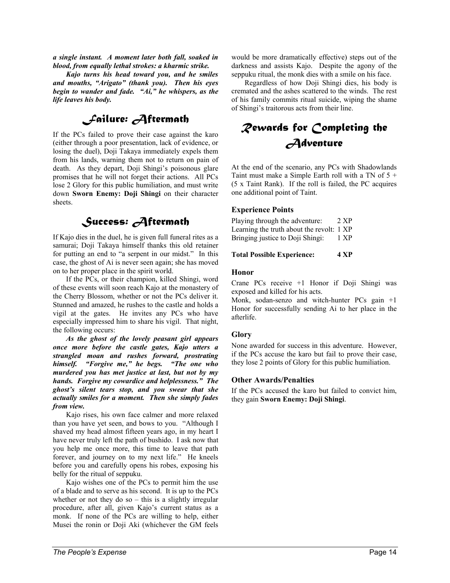*a single instant. A moment later both fall, soaked in blood, from equally lethal strokes: a kharmic strike.* 

*Kajo turns his head toward you, and he smiles and mouths, "Arigato" (thank you). Then his eyes begin to wander and fade. "Ai," he whispers, as the life leaves his body.* 

# *Failure: Aftermath*

If the PCs failed to prove their case against the karo (either through a poor presentation, lack of evidence, or losing the duel), Doji Takaya immediately expels them from his lands, warning them not to return on pain of death. As they depart, Doji Shingi's poisonous glare promises that he will not forget their actions. All PCs lose 2 Glory for this public humiliation, and must write down **Sworn Enemy: Doji Shingi** on their character sheets.

# *Success: Aftermath*

If Kajo dies in the duel, he is given full funeral rites as a samurai; Doji Takaya himself thanks this old retainer for putting an end to "a serpent in our midst." In this case, the ghost of Ai is never seen again; she has moved on to her proper place in the spirit world.

 If the PCs, or their champion, killed Shingi, word of these events will soon reach Kajo at the monastery of the Cherry Blossom, whether or not the PCs deliver it. Stunned and amazed, he rushes to the castle and holds a vigil at the gates. He invites any PCs who have especially impressed him to share his vigil. That night, the following occurs:

*As the ghost of the lovely peasant girl appears once more before the castle gates, Kajo utters a strangled moan and rushes forward, prostrating himself. "Forgive me," he begs. "The one who murdered you has met justice at last, but not by my hands. Forgive my cowardice and helplessness." The ghost's silent tears stop, and you swear that she actually smiles for a moment. Then she simply fades from view.* 

 Kajo rises, his own face calmer and more relaxed than you have yet seen, and bows to you. "Although I shaved my head almost fifteen years ago, in my heart I have never truly left the path of bushido. I ask now that you help me once more, this time to leave that path forever, and journey on to my next life." He kneels before you and carefully opens his robes, exposing his belly for the ritual of seppuku.

 Kajo wishes one of the PCs to permit him the use of a blade and to serve as his second. It is up to the PCs whether or not they do so  $-$  this is a slightly irregular procedure, after all, given Kajo's current status as a monk. If none of the PCs are willing to help, either Musei the ronin or Doji Aki (whichever the GM feels

would be more dramatically effective) steps out of the darkness and assists Kajo. Despite the agony of the seppuku ritual, the monk dies with a smile on his face.

 Regardless of how Doji Shingi dies, his body is cremated and the ashes scattered to the winds. The rest of his family commits ritual suicide, wiping the shame of Shingi's traitorous acts from their line.

# *Rewards for Completing the Adventure*

At the end of the scenario, any PCs with Shadowlands Taint must make a Simple Earth roll with a TN of  $5 +$ (5 x Taint Rank). If the roll is failed, the PC acquires one additional point of Taint.

#### **Experience Points**

Playing through the adventure: 2 XP Learning the truth about the revolt: 1 XP Bringing justice to Doji Shingi: 1 XP

**Total Possible Experience: 4 XP**

#### **Honor**

Crane PCs receive +1 Honor if Doji Shingi was exposed and killed for his acts.

Monk, sodan-senzo and witch-hunter PCs gain +1 Honor for successfully sending Ai to her place in the afterlife.

#### **Glory**

None awarded for success in this adventure. However, if the PCs accuse the karo but fail to prove their case, they lose 2 points of Glory for this public humiliation.

#### **Other Awards/Penalties**

If the PCs accused the karo but failed to convict him, they gain **Sworn Enemy: Doji Shingi**.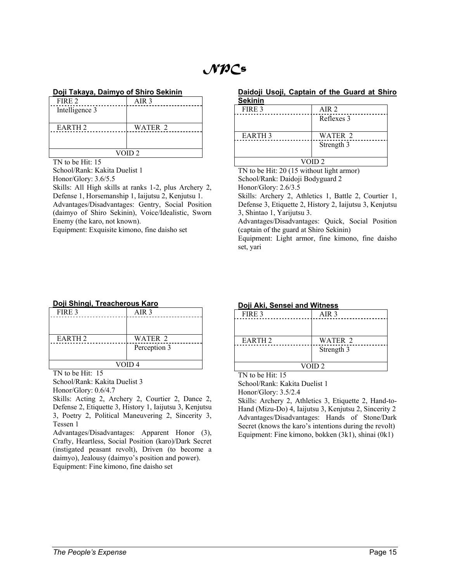# *NPCs*

#### **Doji Takaya, Daimyo of Shiro Sekinin**

| FIRE 2             | AIR <sub>3</sub> |
|--------------------|------------------|
| Intelligence 3     |                  |
|                    |                  |
| EARTH <sub>2</sub> | WATER 2          |
|                    |                  |
|                    |                  |
| VOID <sub>2</sub>  |                  |

TN to be Hit: 15

School/Rank: Kakita Duelist 1

Honor/Glory: 3.6/5.5

Skills: All High skills at ranks 1-2, plus Archery 2, Defense 1, Horsemanship 1, Iaijutsu 2, Kenjutsu 1.

Advantages/Disadvantages: Gentry, Social Position (daimyo of Shiro Sekinin), Voice/Idealistic, Sworn Enemy (the karo, not known).

Equipment: Exquisite kimono, fine daisho set

# **Daidoji Usoji, Captain of the Guard at Shiro**

| <b>Sekinin</b>    |             |
|-------------------|-------------|
| FIRE 3            | AIR 2       |
|                   | Reflexes 3  |
| <b>EARTH3</b>     | WATER 2     |
|                   | Strength 3  |
| VOID <sub>2</sub> |             |
| ------            | .<br>$\sim$ |

TN to be Hit: 20 (15 without light armor) School/Rank: Daidoji Bodyguard 2 Honor/Glory: 2.6/3.5

Skills: Archery 2, Athletics 1, Battle 2, Courtier 1, Defense 3, Etiquette 2, History 2, Iaijutsu 3, Kenjutsu 3, Shintao 1, Yarijutsu 3.

Advantages/Disadvantages: Quick, Social Position (captain of the guard at Shiro Sekinin)

Equipment: Light armor, fine kimono, fine daisho set, yari

#### **Doji Shingi, Treacherous Karo**

| FIRE 3            | AIR <sub>3</sub> |
|-------------------|------------------|
|                   |                  |
|                   |                  |
| <b>EARTH 2</b>    | WATER 2          |
|                   | Perception 3     |
|                   |                  |
| VOID <sub>4</sub> |                  |
|                   |                  |

TN to be Hit: 15

School/Rank: Kakita Duelist 3 Honor/Glory: 0.6/4.7

Skills: Acting 2, Archery 2, Courtier 2, Dance 2, Defense 2, Etiquette 3, History 1, Iaijutsu 3, Kenjutsu 3, Poetry 2, Political Maneuvering 2, Sincerity 3, Tessen 1

Advantages/Disadvantages: Apparent Honor (3), Crafty, Heartless, Social Position (karo)/Dark Secret (instigated peasant revolt), Driven (to become a daimyo), Jealousy (daimyo's position and power). Equipment: Fine kimono, fine daisho set

## **Doji Aki, Sensei and Witness** FIRE 3 AIR 3

| FINE J             | AIN J      |
|--------------------|------------|
|                    |            |
|                    |            |
|                    |            |
| EARTH <sub>2</sub> | WATER 2    |
|                    | Strength 3 |
|                    |            |
| VOID <sub>2</sub>  |            |
|                    |            |

TN to be Hit: 15

School/Rank: Kakita Duelist 1 Honor/Glory: 3.5/2.4

Skills: Archery 2, Athletics 3, Etiquette 2, Hand-to-Hand (Mizu-Do) 4, Iaijutsu 3, Kenjutsu 2, Sincerity 2 Advantages/Disadvantages: Hands of Stone/Dark Secret (knows the karo's intentions during the revolt) Equipment: Fine kimono, bokken (3k1), shinai (0k1)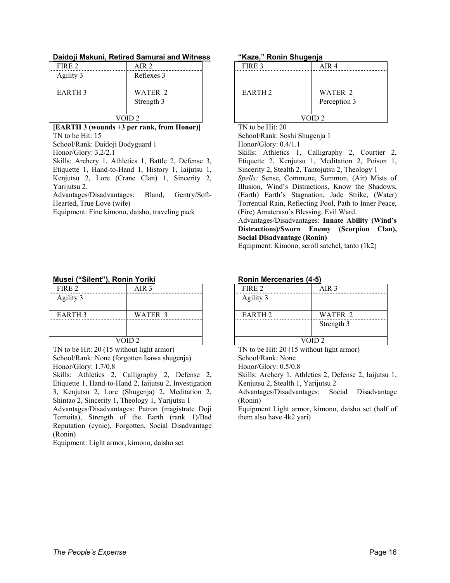#### **Daidoji Makuni, Retired Samurai and Witness**

| AIR 2      |  |
|------------|--|
| Reflexes 3 |  |
|            |  |
| WATER 2    |  |
| Strength 3 |  |
|            |  |
| VOID 2     |  |
|            |  |

#### **[EARTH 3 (wounds +3 per rank, from Honor)]**  TN to be Hit: 15

School/Rank: Daidoji Bodyguard 1

Honor/Glory: 3.2/2.1

Skills: Archery 1, Athletics 1, Battle 2, Defense 3, Etiquette 1, Hand-to-Hand 1, History 1, Iaijutsu 1, Kenjutsu 2, Lore (Crane Clan) 1, Sincerity 2, Yarijutsu 2.

Advantages/Disadvantages: Bland, Gentry/Soft-Hearted, True Love (wife)

Equipment: Fine kimono, daisho, traveling pack

## **Musei ("Silent"), Ronin Yoriki** FIRE 2 AIR 3

| Agility 3         |         |
|-------------------|---------|
| <b>EARTH3</b>     | WATER 3 |
|                   |         |
|                   |         |
| VOID <sub>2</sub> |         |

TN to be Hit: 20 (15 without light armor) School/Rank: None (forgotten Isawa shugenja) Honor/Glory: 1.7/0.8

Skills: Athletics 2, Calligraphy 2, Defense 2, Etiquette 1, Hand-to-Hand 2, Iaijutsu 2, Investigation 3, Kenjutsu 2, Lore (Shugenja) 2, Meditation 2, Shintao 2, Sincerity 1, Theology 1, Yarijutsu 1

Advantages/Disadvantages: Patron (magistrate Doji Tomoita), Strength of the Earth (rank 1)/Bad Reputation (cynic), Forgotten, Social Disadvantage (Ronin)

Equipment: Light armor, kimono, daisho set

#### **"Kaze," Ronin Shugenja**

| FIRE 3             | AIR 4        |
|--------------------|--------------|
|                    |              |
|                    |              |
| EARTH <sub>2</sub> | WATER 2      |
|                    | Perception 3 |
|                    |              |
| VOID <sub>2</sub>  |              |

TN to be Hit: 20

School/Rank: Soshi Shugenja 1 Honor/Glory: 0.4/1.1

Skills: Athletics 1, Calligraphy 2, Courtier 2, Etiquette 2, Kenjutsu 1, Meditation 2, Poison 1, Sincerity 2, Stealth 2, Tantojutsu 2, Theology 1

*Spells:* Sense, Commune, Summon, (Air) Mists of Illusion, Wind's Distractions, Know the Shadows, (Earth) Earth's Stagnation, Jade Strike, (Water) Torrential Rain, Reflecting Pool, Path to Inner Peace, (Fire) Amaterasu's Blessing, Evil Ward.

Advantages/Disadvantages: **Innate Ability (Wind's Distractions)/Sworn Enemy (Scorpion Clan), Social Disadvantage (Ronin)**

Equipment: Kimono, scroll satchel, tanto (1k2)

| <b>Ronin Mercenaries (4-5)</b> |                  |
|--------------------------------|------------------|
| FIRE 2                         | AIR <sub>3</sub> |
| Agility 3                      |                  |
| EARTH <sub>2</sub>             | WATER 2          |
|                                | Strength 3       |
|                                |                  |
| VOID <sub>2</sub>              |                  |

TN to be Hit: 20 (15 without light armor) School/Rank: None

Honor/Glory: 0.5/0.8

Skills: Archery 1, Athletics 2, Defense 2, Iaijutsu 1, Kenjutsu 2, Stealth 1, Yarijutsu 2

Advantages/Disadvantages: Social Disadvantage (Ronin)

Equipment Light armor, kimono, daisho set (half of them also have 4k2 yari)